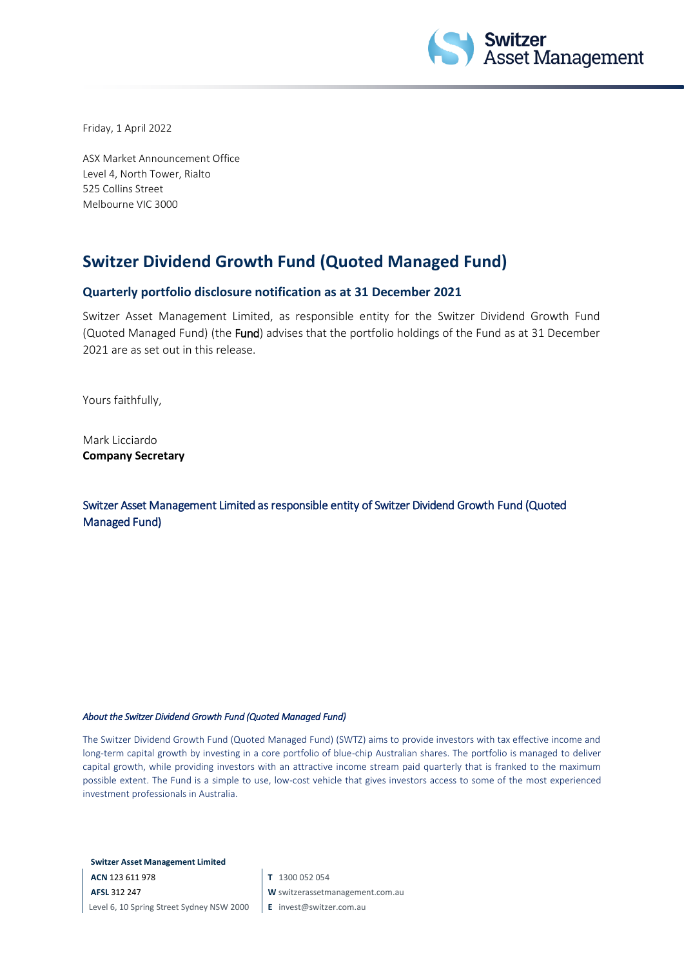

Friday, 1 April 2022

ASX Market Announcement Office Level 4, North Tower, Rialto 525 Collins Street Melbourne VIC 3000

## **Switzer Dividend Growth Fund (Quoted Managed Fund)**

## **Quarterly portfolio disclosure notification as at 31 December 2021**

Switzer Asset Management Limited, as responsible entity for the Switzer Dividend Growth Fund (Quoted Managed Fund) (the Fund) advises that the portfolio holdings of the Fund as at 31 December 2021 are as set out in this release.

Yours faithfully,

Mark Licciardo **Company Secretary**

Switzer Asset Management Limited as responsible entity of Switzer Dividend Growth Fund (Quoted Managed Fund)

## *About the Switzer Dividend Growth Fund (Quoted Managed Fund)*

The Switzer Dividend Growth Fund (Quoted Managed Fund) (SWTZ) aims to provide investors with tax effective income and long-term capital growth by investing in a core portfolio of blue-chip Australian shares. The portfolio is managed to deliver capital growth, while providing investors with an attractive income stream paid quarterly that is franked to the maximum possible extent. The Fund is a simple to use, low-cost vehicle that gives investors access to some of the most experienced investment professionals in Australia.

**Switzer Asset Management Limited**

**ACN** 123 611 978 **AFSL** 312 247 Level 6, 10 Spring Street Sydney NSW 2000 **T** 1300 052 054

- **W** switzerassetmanagement.com.au
- **E** invest@switzer.com.au